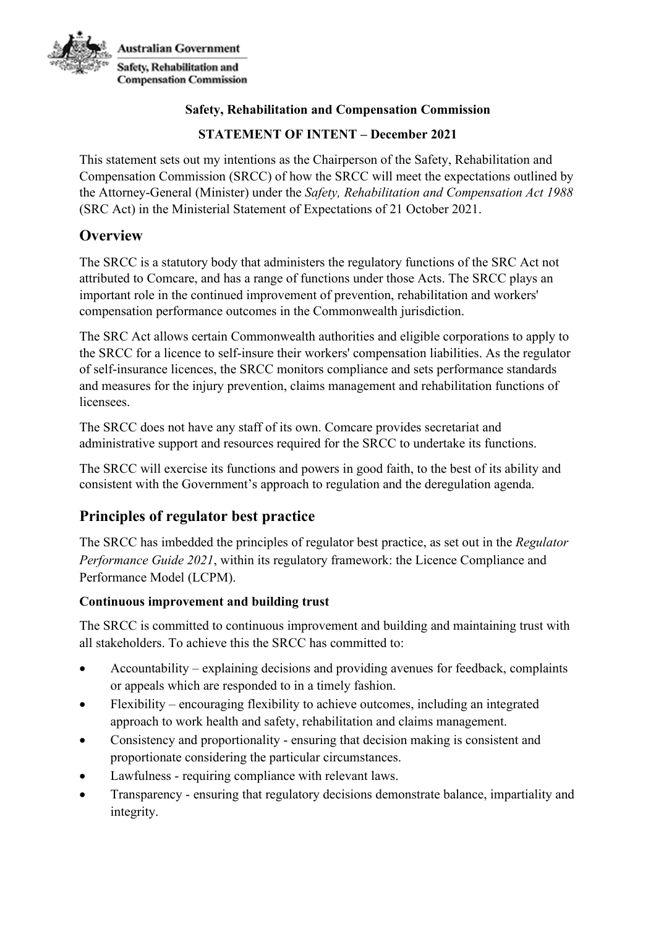

#### **Safety, Rehabilitation and Compensation Commission**

## **STATEMENT OF INTENT – December 2021**

This statement sets out my intentions as the Chairperson of the Safety, Rehabilitation and Compensation Commission (SRCC) of how the SRCC will meet the expectations outlined by the Attorney-General (Minister) under the *Safety, Rehabilitation and Compensation Act 1988*  (SRC Act) in the Ministerial Statement of Expectations of 21 October 2021.

# **Overview**

The SRCC is a statutory body that administers the regulatory functions of the SRC Act not attributed to Comcare, and has a range of functions under those Acts. The SRCC plays an important role in the continued improvement of prevention, rehabilitation and workers' compensation performance outcomes in the Commonwealth jurisdiction.

The SRC Act allows certain Commonwealth authorities and eligible corporations to apply to the SRCC for a licence to self-insure their workers' compensation liabilities. As the regulator of self-insurance licences, the SRCC monitors compliance and sets performance standards and measures for the injury prevention, claims management and rehabilitation functions of licensees.

The SRCC does not have any staff of its own. Comcare provides secretariat and administrative support and resources required for the SRCC to undertake its functions.

The SRCC will exercise its functions and powers in good faith, to the best of its ability and consistent with the Government's approach to regulation and the deregulation agenda.

# **Principles of regulator best practice**

The SRCC has imbedded the principles of regulator best practice, as set out in the *Regulator Performance Guide 2021*, within its regulatory framework: the Licence Compliance and Performance Model (LCPM).

#### **Continuous improvement and building trust**

The SRCC is committed to continuous improvement and building and maintaining trust with all stakeholders. To achieve this the SRCC has committed to:

- Accountability explaining decisions and providing avenues for feedback, complaints or appeals which are responded to in a timely fashion.
- Flexibility encouraging flexibility to achieve outcomes, including an integrated approach to work health and safety, rehabilitation and claims management.
- Consistency and proportionality ensuring that decision making is consistent and proportionate considering the particular circumstances.
- Lawfulness requiring compliance with relevant laws.
- Transparency ensuring that regulatory decisions demonstrate balance, impartiality and integrity.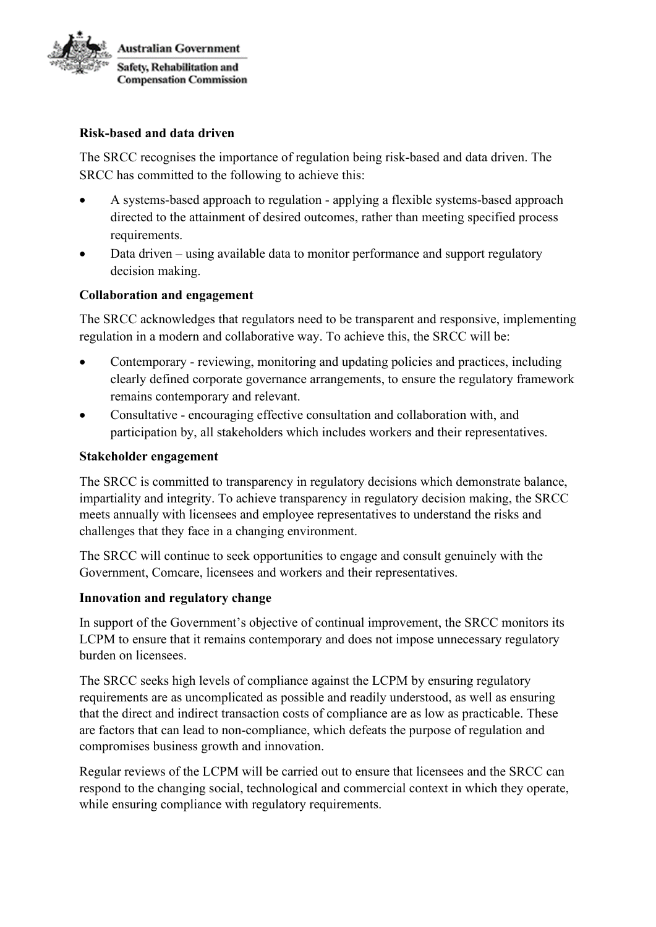

#### **Risk-based and data driven**

The SRCC recognises the importance of regulation being risk-based and data driven. The SRCC has committed to the following to achieve this:

- A systems-based approach to regulation applying a flexible systems-based approach directed to the attainment of desired outcomes, rather than meeting specified process requirements.
- Data driven using available data to monitor performance and support regulatory decision making.

#### **Collaboration and engagement**

The SRCC acknowledges that regulators need to be transparent and responsive, implementing regulation in a modern and collaborative way. To achieve this, the SRCC will be:

- Contemporary reviewing, monitoring and updating policies and practices, including clearly defined corporate governance arrangements, to ensure the regulatory framework remains contemporary and relevant.
- Consultative encouraging effective consultation and collaboration with, and participation by, all stakeholders which includes workers and their representatives.

#### **Stakeholder engagement**

The SRCC is committed to transparency in regulatory decisions which demonstrate balance, impartiality and integrity. To achieve transparency in regulatory decision making, the SRCC meets annually with licensees and employee representatives to understand the risks and challenges that they face in a changing environment.

The SRCC will continue to seek opportunities to engage and consult genuinely with the Government, Comcare, licensees and workers and their representatives.

#### **Innovation and regulatory change**

In support of the Government's objective of continual improvement, the SRCC monitors its LCPM to ensure that it remains contemporary and does not impose unnecessary regulatory burden on licensees.

The SRCC seeks high levels of compliance against the LCPM by ensuring regulatory requirements are as uncomplicated as possible and readily understood, as well as ensuring that the direct and indirect transaction costs of compliance are as low as practicable. These are factors that can lead to non-compliance, which defeats the purpose of regulation and compromises business growth and innovation.

Regular reviews of the LCPM will be carried out to ensure that licensees and the SRCC can respond to the changing social, technological and commercial context in which they operate, while ensuring compliance with regulatory requirements.